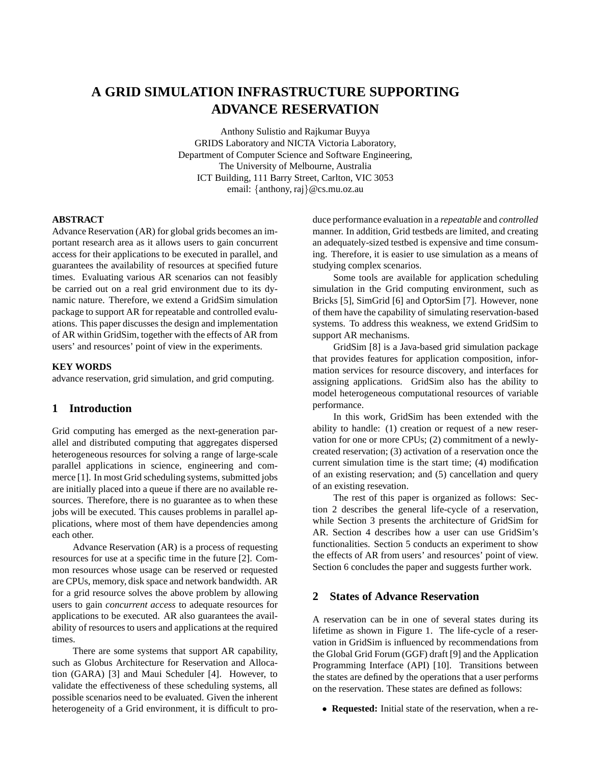# **A GRID SIMULATION INFRASTRUCTURE SUPPORTING ADVANCE RESERVATION**

Anthony Sulistio and Rajkumar Buyya GRIDS Laboratory and NICTA Victoria Laboratory, Department of Computer Science and Software Engineering, The University of Melbourne, Australia ICT Building, 111 Barry Street, Carlton, VIC 3053 email: {anthony, raj}@cs.mu.oz.au

#### **ABSTRACT**

Advance Reservation (AR) for global grids becomes an important research area as it allows users to gain concurrent access for their applications to be executed in parallel, and guarantees the availability of resources at specified future times. Evaluating various AR scenarios can not feasibly be carried out on a real grid environment due to its dynamic nature. Therefore, we extend a GridSim simulation package to support AR for repeatable and controlled evaluations. This paper discusses the design and implementation of AR within GridSim, together with the effects of AR from users' and resources' point of view in the experiments.

#### **KEY WORDS**

advance reservation, grid simulation, and grid computing.

## **1 Introduction**

Grid computing has emerged as the next-generation parallel and distributed computing that aggregates dispersed heterogeneous resources for solving a range of large-scale parallel applications in science, engineering and commerce [1]. In most Grid scheduling systems, submitted jobs are initially placed into a queue if there are no available resources. Therefore, there is no guarantee as to when these jobs will be executed. This causes problems in parallel applications, where most of them have dependencies among each other.

Advance Reservation (AR) is a process of requesting resources for use at a specific time in the future [2]. Common resources whose usage can be reserved or requested are CPUs, memory, disk space and network bandwidth. AR for a grid resource solves the above problem by allowing users to gain *concurrent access* to adequate resources for applications to be executed. AR also guarantees the availability of resources to users and applications at the required times.

There are some systems that support AR capability, such as Globus Architecture for Reservation and Allocation (GARA) [3] and Maui Scheduler [4]. However, to validate the effectiveness of these scheduling systems, all possible scenarios need to be evaluated. Given the inherent heterogeneity of a Grid environment, it is difficult to produce performance evaluation in a *repeatable* and *controlled* manner. In addition, Grid testbeds are limited, and creating an adequately-sized testbed is expensive and time consuming. Therefore, it is easier to use simulation as a means of studying complex scenarios.

Some tools are available for application scheduling simulation in the Grid computing environment, such as Bricks [5], SimGrid [6] and OptorSim [7]. However, none of them have the capability of simulating reservation-based systems. To address this weakness, we extend GridSim to support AR mechanisms.

GridSim [8] is a Java-based grid simulation package that provides features for application composition, information services for resource discovery, and interfaces for assigning applications. GridSim also has the ability to model heterogeneous computational resources of variable performance.

In this work, GridSim has been extended with the ability to handle: (1) creation or request of a new reservation for one or more CPUs; (2) commitment of a newlycreated reservation; (3) activation of a reservation once the current simulation time is the start time; (4) modification of an existing reservation; and (5) cancellation and query of an existing resevation.

The rest of this paper is organized as follows: Section 2 describes the general life-cycle of a reservation, while Section 3 presents the architecture of GridSim for AR. Section 4 describes how a user can use GridSim's functionalities. Section 5 conducts an experiment to show the effects of AR from users' and resources' point of view. Section 6 concludes the paper and suggests further work.

# **2 States of Advance Reservation**

A reservation can be in one of several states during its lifetime as shown in Figure 1. The life-cycle of a reservation in GridSim is influenced by recommendations from the Global Grid Forum (GGF) draft [9] and the Application Programming Interface (API) [10]. Transitions between the states are defined by the operations that a user performs on the reservation. These states are defined as follows:

• **Requested:** Initial state of the reservation, when a re-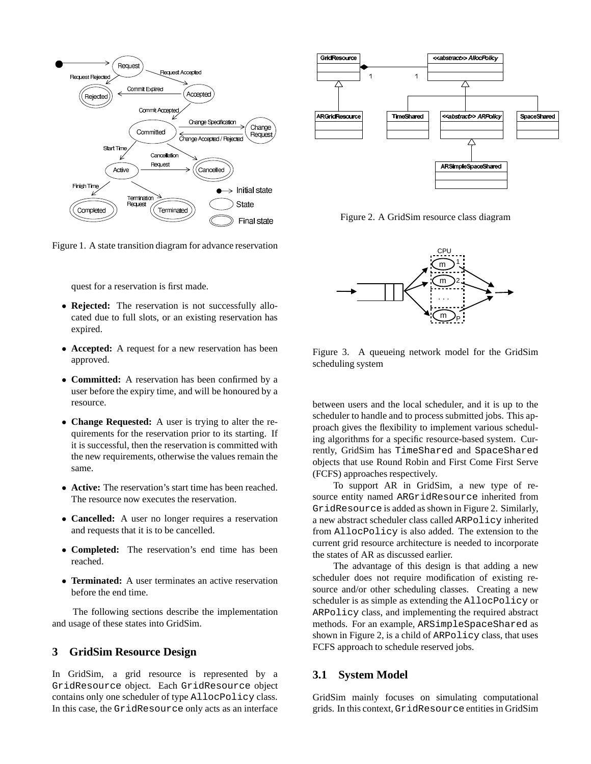

Figure 1. A state transition diagram for advance reservation



Figure 2. A GridSim resource class diagram



quest for a reservation is first made.

- **Rejected:** The reservation is not successfully allocated due to full slots, or an existing reservation has expired.
- **Accepted:** A request for a new reservation has been approved.
- **Committed:** A reservation has been confirmed by a user before the expiry time, and will be honoured by a resource.
- **Change Requested:** A user is trying to alter the requirements for the reservation prior to its starting. If it is successful, then the reservation is committed with the new requirements, otherwise the values remain the same.
- **Active:** The reservation's start time has been reached. The resource now executes the reservation.
- **Cancelled:** A user no longer requires a reservation and requests that it is to be cancelled.
- **Completed:** The reservation's end time has been reached.
- **Terminated:** A user terminates an active reservation before the end time.

The following sections describe the implementation and usage of these states into GridSim.

### **3 GridSim Resource Design**

In GridSim, a grid resource is represented by a GridResource object. Each GridResource object contains only one scheduler of type AllocPolicy class. In this case, the GridResource only acts as an interface

Figure 3. A queueing network model for the GridSim scheduling system

between users and the local scheduler, and it is up to the scheduler to handle and to process submitted jobs. This approach gives the flexibility to implement various scheduling algorithms for a specific resource-based system. Currently, GridSim has TimeShared and SpaceShared objects that use Round Robin and First Come First Serve (FCFS) approaches respectively.

To support AR in GridSim, a new type of resource entity named ARGridResource inherited from GridResource is added as shown in Figure 2. Similarly, a new abstract scheduler class called ARPolicy inherited from AllocPolicy is also added. The extension to the current grid resource architecture is needed to incorporate the states of AR as discussed earlier.

The advantage of this design is that adding a new scheduler does not require modification of existing resource and/or other scheduling classes. Creating a new scheduler is as simple as extending the AllocPolicy or ARPolicy class, and implementing the required abstract methods. For an example, ARSimpleSpaceShared as shown in Figure 2, is a child of ARPolicy class, that uses FCFS approach to schedule reserved jobs.

### **3.1 System Model**

GridSim mainly focuses on simulating computational grids. In this context, GridResource entities in GridSim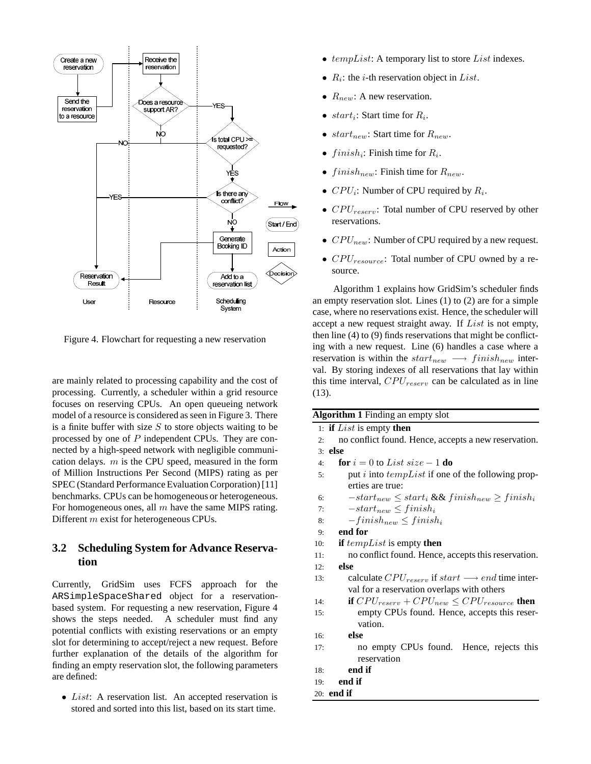

Figure 4. Flowchart for requesting a new reservation

are mainly related to processing capability and the cost of processing. Currently, a scheduler within a grid resource focuses on reserving CPUs. An open queueing network model of a resource is considered as seen in Figure 3. There is a finite buffer with size  $S$  to store objects waiting to be processed by one of P independent CPUs. They are connected by a high-speed network with negligible communication delays.  $m$  is the CPU speed, measured in the form of Million Instructions Per Second (MIPS) rating as per SPEC (Standard Performance Evaluation Corporation)[11] benchmarks. CPUs can be homogeneous or heterogeneous. For homogeneous ones, all  $m$  have the same MIPS rating. Different m exist for heterogeneous CPUs.

# **3.2 Scheduling System for Advance Reservation**

Currently, GridSim uses FCFS approach for the ARSimpleSpaceShared object for a reservationbased system. For requesting a new reservation, Figure 4 shows the steps needed. A scheduler must find any potential conflicts with existing reservations or an empty slot for determining to accept/reject a new request. Before further explanation of the details of the algorithm for finding an empty reservation slot, the following parameters are defined:

• *List*: A reservation list. An accepted reservation is stored and sorted into this list, based on its start time.

- $tempList$ : A temporary list to store *List* indexes.
- $R_i$ : the *i*-th reservation object in *List*.
- $R_{new}$ : A new reservation.
- *start*<sub>i</sub>: Start time for  $R_i$ .
- start<sub>new</sub>: Start time for  $R_{new}$ .
- $finish_i$ : Finish time for  $R_i$ .
- $finish_{new}$ : Finish time for  $R_{new}$ .
- $CPU_i$ : Number of CPU required by  $R_i$ .
- $CPU_{reserv}$ : Total number of CPU reserved by other reservations.
- $CPU_{new}$ : Number of CPU required by a new request.
- $CPU_{resource}$ : Total number of CPU owned by a resource.

Algorithm 1 explains how GridSim's scheduler finds an empty reservation slot. Lines (1) to (2) are for a simple case, where no reservations exist. Hence, the scheduler will accept a new request straight away. If List is not empty, then line (4) to (9) finds reservations that might be conflicting with a new request. Line (6) handles a case where a reservation is within the  $start_{new} \longrightarrow finish_{new}$  interval. By storing indexes of all reservations that lay within this time interval,  $CPU_{reserv}$  can be calculated as in line (13).

| <b>Algorithm 1</b> Finding an empty slot |                                                                     |  |  |  |  |  |
|------------------------------------------|---------------------------------------------------------------------|--|--|--|--|--|
|                                          | 1: if $List$ is empty then                                          |  |  |  |  |  |
| 2:                                       | no conflict found. Hence, accepts a new reservation.                |  |  |  |  |  |
|                                          | $3:$ else                                                           |  |  |  |  |  |
| 4:                                       | <b>for</b> $i = 0$ to List size $-1$ <b>do</b>                      |  |  |  |  |  |
| 5:                                       | put i into $tempList$ if one of the following prop-                 |  |  |  |  |  |
|                                          | erties are true:                                                    |  |  |  |  |  |
| 6:                                       | $-start_{new} \leq start_i \&\&\,finish_{new} \geq finish_i$        |  |  |  |  |  |
| 7:                                       | $-start_{new} \leq finish_i$                                        |  |  |  |  |  |
| 8:                                       | $-finish_{new} \leq finish_i$                                       |  |  |  |  |  |
| 9:                                       | end for                                                             |  |  |  |  |  |
| 10:                                      | if $tempList$ is empty then                                         |  |  |  |  |  |
| 11:                                      | no conflict found. Hence, accepts this reservation.                 |  |  |  |  |  |
| 12:                                      | else                                                                |  |  |  |  |  |
| 13:                                      | calculate $CPU_{reserv}$ if $start \longrightarrow end$ time inter- |  |  |  |  |  |
|                                          | val for a reservation overlaps with others                          |  |  |  |  |  |
| 14:                                      | if $CPU_{reserv} + CPU_{new} \le CPU_{resource}$ then               |  |  |  |  |  |
| 15:                                      | empty CPUs found. Hence, accepts this reser-                        |  |  |  |  |  |
|                                          | vation.                                                             |  |  |  |  |  |
| 16:                                      | else                                                                |  |  |  |  |  |
| 17:                                      | no empty CPUs found. Hence, rejects this                            |  |  |  |  |  |
|                                          | reservation                                                         |  |  |  |  |  |
| 18:                                      | end if                                                              |  |  |  |  |  |
| 19:                                      | end if                                                              |  |  |  |  |  |
|                                          | $20:$ end if                                                        |  |  |  |  |  |
|                                          |                                                                     |  |  |  |  |  |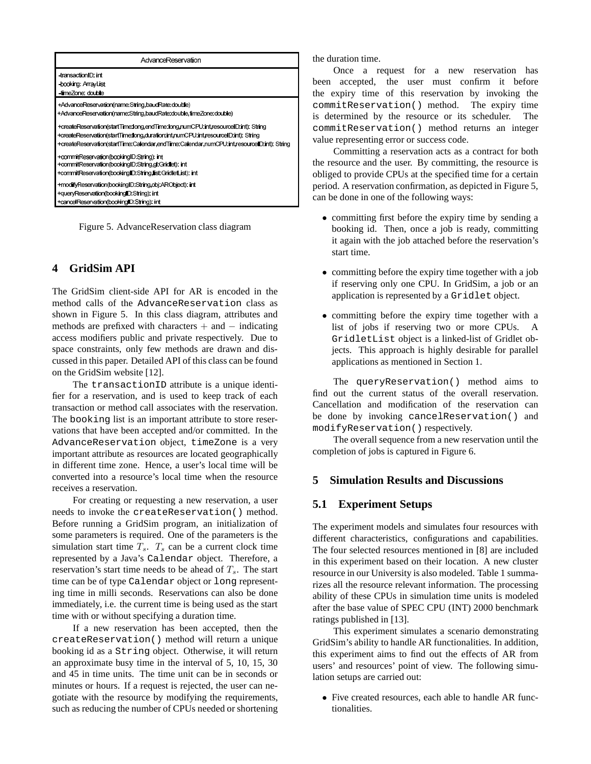| AdvanceReservation                                                                        |  |  |  |  |
|-------------------------------------------------------------------------------------------|--|--|--|--|
| -transaction <sup>ID</sup> : int<br>-booking: ArrayList                                   |  |  |  |  |
| timeZone: double                                                                          |  |  |  |  |
| +AdvanceReservation(name:String.baudRate:double)                                          |  |  |  |  |
| +AdvanceReservation(name:String.baudRate:double.timeZone:double)                          |  |  |  |  |
| +createReservation(startTime:long,endTime:long,numCPU:int,resourceID:int): String         |  |  |  |  |
| +createReservation(startTime:long,duration:int,numCPU:int,resourceID:int): String         |  |  |  |  |
| +createReservation(startTime:Calendar,endTime:Calendar,numCPU:int,resourceID:int): String |  |  |  |  |
| +commitReservation(bookingID:String): int                                                 |  |  |  |  |
| +commitReservation(booking D. String, gl. Gridlet): int                                   |  |  |  |  |
| +commitReservation(bookingID:String,list:GridletList): int                                |  |  |  |  |
| +modifyReservation(bookingID:String,obj:ARObject): int                                    |  |  |  |  |
| +queryReservation(bookingID:String): int                                                  |  |  |  |  |
| +cancelReservation(bookingID:String): int                                                 |  |  |  |  |

Figure 5. AdvanceReservation class diagram

# **4 GridSim API**

The GridSim client-side API for AR is encoded in the method calls of the AdvanceReservation class as shown in Figure 5. In this class diagram, attributes and methods are prefixed with characters  $+$  and  $-$  indicating access modifiers public and private respectively. Due to space constraints, only few methods are drawn and discussed in this paper. Detailed API of this class can be found on the GridSim website [12].

The transactionID attribute is a unique identifier for a reservation, and is used to keep track of each transaction or method call associates with the reservation. The booking list is an important attribute to store reservations that have been accepted and/or committed. In the AdvanceReservation object, timeZone is a very important attribute as resources are located geographically in different time zone. Hence, a user's local time will be converted into a resource's local time when the resource receives a reservation.

For creating or requesting a new reservation, a user needs to invoke the createReservation() method. Before running a GridSim program, an initialization of some parameters is required. One of the parameters is the simulation start time  $T_s$ .  $T_s$  can be a current clock time represented by a Java's Calendar object. Therefore, a reservation's start time needs to be ahead of  $T_s$ . The start time can be of type Calendar object or long representing time in milli seconds. Reservations can also be done immediately, i.e. the current time is being used as the start time with or without specifying a duration time.

If a new reservation has been accepted, then the createReservation() method will return a unique booking id as a String object. Otherwise, it will return an approximate busy time in the interval of 5, 10, 15, 30 and 45 in time units. The time unit can be in seconds or minutes or hours. If a request is rejected, the user can negotiate with the resource by modifying the requirements, such as reducing the number of CPUs needed or shortening

the duration time.

Once a request for a new reservation has been accepted, the user must confirm it before the expiry time of this reservation by invoking the commitReservation() method. The expiry time is determined by the resource or its scheduler. The commitReservation() method returns an integer value representing error or success code.

Committing a reservation acts as a contract for both the resource and the user. By committing, the resource is obliged to provide CPUs at the specified time for a certain period. A reservation confirmation, as depicted in Figure 5, can be done in one of the following ways:

- committing first before the expiry time by sending a booking id. Then, once a job is ready, committing it again with the job attached before the reservation's start time.
- committing before the expiry time together with a job if reserving only one CPU. In GridSim, a job or an application is represented by a Gridlet object.
- committing before the expiry time together with a list of jobs if reserving two or more CPUs. A GridletList object is a linked-list of Gridlet objects. This approach is highly desirable for parallel applications as mentioned in Section 1.

The queryReservation() method aims to find out the current status of the overall reservation. Cancellation and modification of the reservation can be done by invoking cancelReservation() and modifyReservation() respectively.

The overall sequence from a new reservation until the completion of jobs is captured in Figure 6.

# **5 Simulation Results and Discussions**

# **5.1 Experiment Setups**

The experiment models and simulates four resources with different characteristics, configurations and capabilities. The four selected resources mentioned in [8] are included in this experiment based on their location. A new cluster resource in our University is also modeled. Table 1 summarizes all the resource relevant information. The processing ability of these CPUs in simulation time units is modeled after the base value of SPEC CPU (INT) 2000 benchmark ratings published in [13].

This experiment simulates a scenario demonstrating GridSim's ability to handle AR functionalities. In addition, this experiment aims to find out the effects of AR from users' and resources' point of view. The following simulation setups are carried out:

• Five created resources, each able to handle AR functionalities.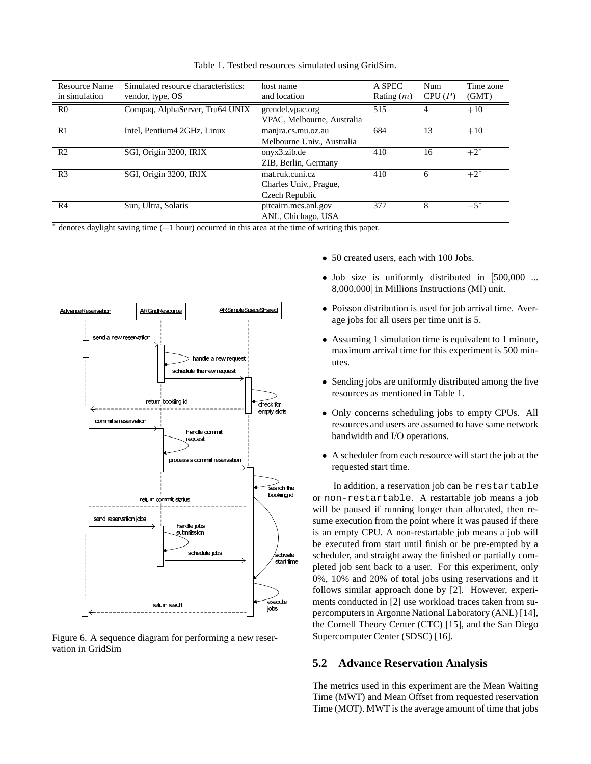| <b>Resource Name</b> | Simulated resource characteristics: | host name                  | A SPEC       | Num    | Time zone |
|----------------------|-------------------------------------|----------------------------|--------------|--------|-----------|
| in simulation        | vendor, type, OS                    | and location               | Rating $(m)$ | CPU(P) | (GMT)     |
| R <sub>0</sub>       | Compaq, AlphaServer, Tru64 UNIX     | grendel.vpac.org           | 515          |        | $+10$     |
|                      |                                     | VPAC, Melbourne, Australia |              |        |           |
| R1                   | Intel, Pentium4 2GHz, Linux         | manjra.cs.mu.oz.au         | 684          | 13     | $+10$     |
|                      |                                     | Melbourne Univ., Australia |              |        |           |
| R <sub>2</sub>       | SGI, Origin 3200, IRIX              | onyx3.zib.de               | 410          | 16     | $+2^{*}$  |
|                      |                                     | ZIB, Berlin, Germany       |              |        |           |
| R <sub>3</sub>       | SGI, Origin 3200, IRIX              | mat.ruk.cuni.cz            | 410          | 6      | $+2^*$    |
|                      |                                     | Charles Univ., Prague,     |              |        |           |
|                      |                                     | Czech Republic             |              |        |           |
| R <sub>4</sub>       | Sun, Ultra, Solaris                 | pitcairn.mcs.anl.gov       | 377          | 8      | $-5^{*}$  |
|                      |                                     | ANL, Chichago, USA         |              |        |           |

Table 1. Testbed resources simulated using GridSim.

∗ denotes daylight saving time (+1 hour) occurred in this area at the time of writing this paper.



Figure 6. A sequence diagram for performing a new reservation in GridSim

- 50 created users, each with 100 Jobs.
- Job size is uniformly distributed in [500,000 ... 8,000,000] in Millions Instructions (MI) unit.
- Poisson distribution is used for job arrival time. Average jobs for all users per time unit is 5.
- Assuming 1 simulation time is equivalent to 1 minute, maximum arrival time for this experiment is 500 minutes.
- Sending jobs are uniformly distributed among the five resources as mentioned in Table 1.
- Only concerns scheduling jobs to empty CPUs. All resources and users are assumed to have same network bandwidth and I/O operations.
- A scheduler from each resource will start the job at the requested start time.

In addition, a reservation job can be restartable or non-restartable. A restartable job means a job will be paused if running longer than allocated, then resume execution from the point where it was paused if there is an empty CPU. A non-restartable job means a job will be executed from start until finish or be pre-empted by a scheduler, and straight away the finished or partially completed job sent back to a user. For this experiment, only 0%, 10% and 20% of total jobs using reservations and it follows similar approach done by [2]. However, experiments conducted in [2] use workload traces taken from supercomputersin Argonne National Laboratory (ANL) [14], the Cornell Theory Center (CTC) [15], and the San Diego Supercomputer Center (SDSC) [16].

# **5.2 Advance Reservation Analysis**

The metrics used in this experiment are the Mean Waiting Time (MWT) and Mean Offset from requested reservation Time (MOT). MWT is the average amount of time that jobs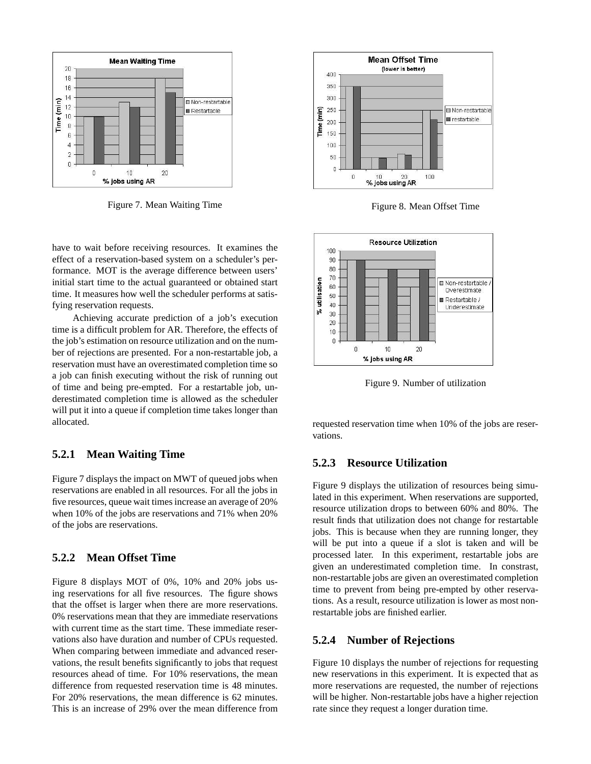

Figure 7. Mean Waiting Time

have to wait before receiving resources. It examines the effect of a reservation-based system on a scheduler's performance. MOT is the average difference between users' initial start time to the actual guaranteed or obtained start time. It measures how well the scheduler performs at satisfying reservation requests.

Achieving accurate prediction of a job's execution time is a difficult problem for AR. Therefore, the effects of the job's estimation on resource utilization and on the number of rejections are presented. For a non-restartable job, a reservation must have an overestimated completion time so a job can finish executing without the risk of running out of time and being pre-empted. For a restartable job, underestimated completion time is allowed as the scheduler will put it into a queue if completion time takes longer than allocated.

# **5.2.1 Mean Waiting Time**

Figure 7 displays the impact on MWT of queued jobs when reservations are enabled in all resources. For all the jobs in five resources, queue wait times increase an average of 20% when 10% of the jobs are reservations and 71% when 20% of the jobs are reservations.

# **5.2.2 Mean Offset Time**

Figure 8 displays MOT of 0%, 10% and 20% jobs using reservations for all five resources. The figure shows that the offset is larger when there are more reservations. 0% reservations mean that they are immediate reservations with current time as the start time. These immediate reservations also have duration and number of CPUs requested. When comparing between immediate and advanced reservations, the result benefits significantly to jobs that request resources ahead of time. For 10% reservations, the mean difference from requested reservation time is 48 minutes. For 20% reservations, the mean difference is 62 minutes. This is an increase of 29% over the mean difference from



Figure 8. Mean Offset Time



Figure 9. Number of utilization

requested reservation time when 10% of the jobs are reservations.

# **5.2.3 Resource Utilization**

Figure 9 displays the utilization of resources being simulated in this experiment. When reservations are supported, resource utilization drops to between 60% and 80%. The result finds that utilization does not change for restartable jobs. This is because when they are running longer, they will be put into a queue if a slot is taken and will be processed later. In this experiment, restartable jobs are given an underestimated completion time. In constrast, non-restartable jobs are given an overestimated completion time to prevent from being pre-empted by other reservations. As a result, resource utilization is lower as most nonrestartable jobs are finished earlier.

### **5.2.4 Number of Rejections**

Figure 10 displays the number of rejections for requesting new reservations in this experiment. It is expected that as more reservations are requested, the number of rejections will be higher. Non-restartable jobs have a higher rejection rate since they request a longer duration time.